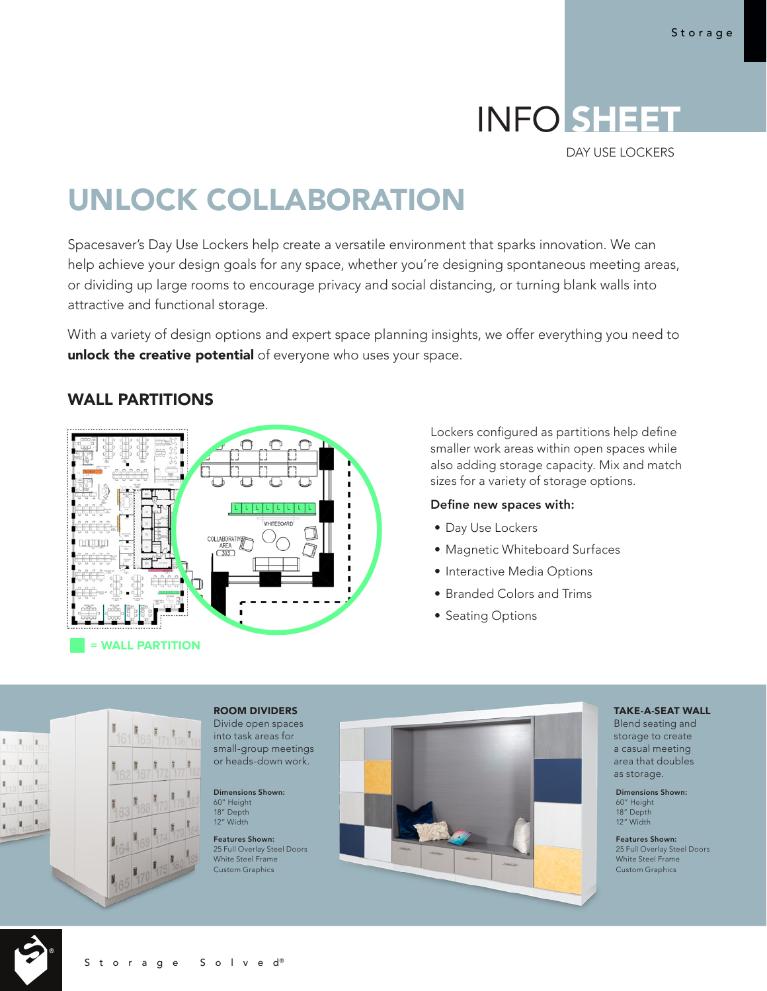# INFO SHEET

DAY USE LOCKERS

# UNLOCK COLLABORATION

Spacesaver's Day Use Lockers help create a versatile environment that sparks innovation. We can help achieve your design goals for any space, whether you're designing spontaneous meeting areas, or dividing up large rooms to encourage privacy and social distancing, or turning blank walls into attractive and functional storage.

With a variety of design options and expert space planning insights, we offer everything you need to unlock the creative potential of everyone who uses your space.

# COLLABORAT **= WALL PARTITION**

WALL PARTITIONS

Lockers configured as partitions help define smaller work areas within open spaces while also adding storage capacity. Mix and match sizes for a variety of storage options.

#### Define new spaces with:

- Day Use Lockers
- Magnetic Whiteboard Surfaces
- Interactive Media Options
- Branded Colors and Trims
- Seating Options



### ROOM DIVIDERS

Divide open spaces into task areas for small-group meetings or heads-down work.

Dimensions Shown: 60" Height 18" Depth 12" Width

Features Shown: 25 Full Overlay Steel Doors White Steel Frame Custom Graphics



#### TAKE-A-SEAT WALL

Blend seating and storage to create a casual meeting area that doubles as storage.

Dimensions Shown: 60" Height 18" Depth 12" Width

Features Shown: 25 Full Overlay Steel Doors White Steel Frame Custom Graphics

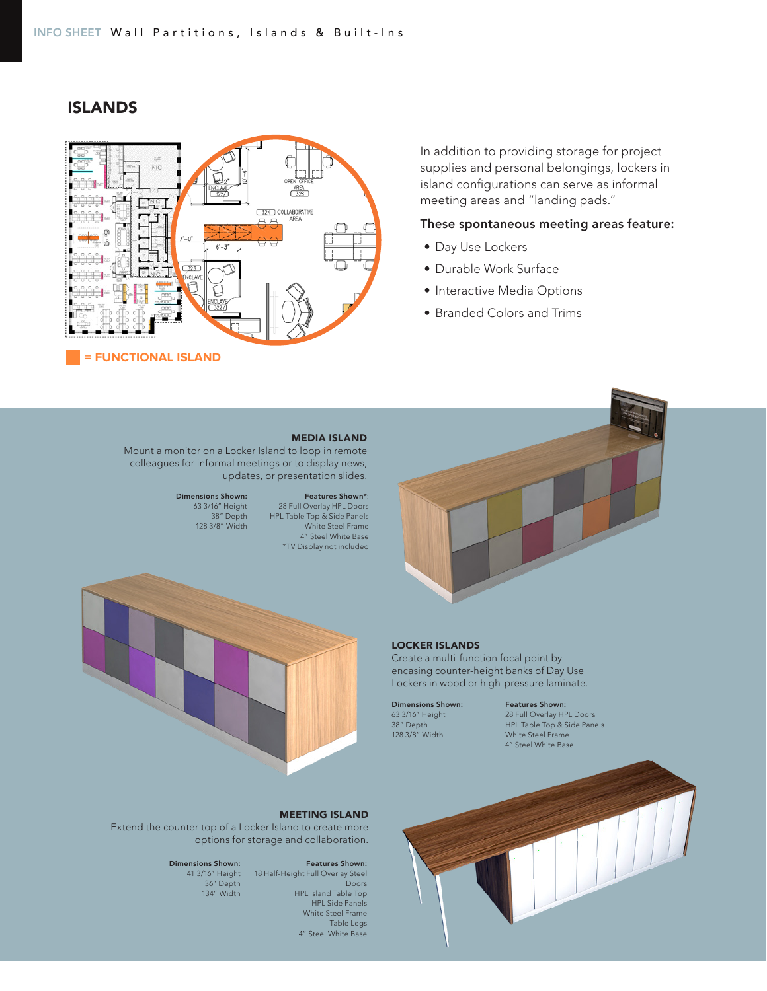

ISLANDS

In addition to providing storage for project supplies and personal belongings, lockers in island configurations can serve as informal meeting areas and "landing pads."

#### These spontaneous meeting areas feature:

- Day Use Lockers
- Durable Work Surface
- Interactive Media Options
- Branded Colors and Trims



#### LOCKER ISLANDS

Create a multi-function focal point by encasing counter-height banks of Day Use Lockers in wood or high-pressure laminate.

Dimensions Shown: 63 3/16" Height 38" Depth 128 3/8" Width

Features Shown: 28 Full Overlay HPL Doors HPL Table Top & Side Panels White Steel Frame 4" Steel White Base



#### MEDIA ISLAND

Mount a monitor on a Locker Island to loop in remote colleagues for informal meetings or to display news, updates, or presentation slides.

#### Features Shown\*: 28 Full Overlay HPL Doors

White Steel Frame 4" Steel White Base

Dimensions Shown: 63 3/16" Height 38" Depth 128 3/8" Width HPL Table Top & Side Panels



#### MEETING ISLAND

Extend the counter top of a Locker Island to create more options for storage and collaboration.

#### Features Shown:

41 3/16" Height 18 Half-Height Full Overlay Steel Doors HPL Island Table Top HPL Side Panels White Steel Frame Table Legs 4" Steel White Base

# Dimensions Shown:

36" Depth 134" Width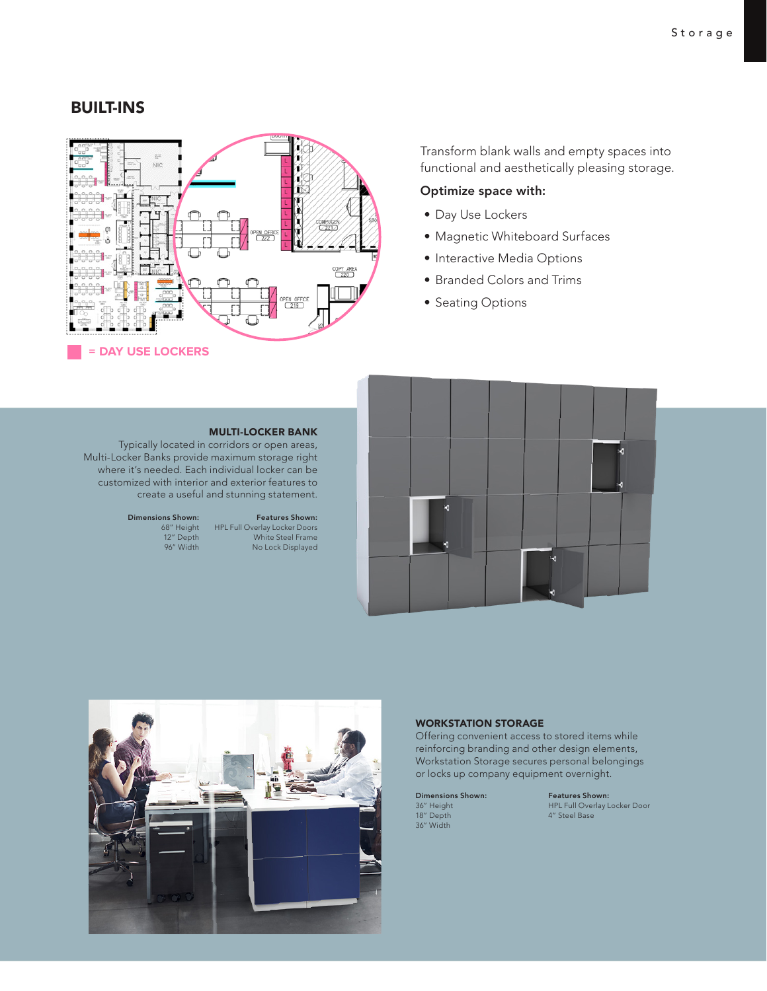## BUILT-INS



Transform blank walls and empty spaces into functional and aesthetically pleasing storage.

#### Optimize space with:

- Day Use Lockers
- Magnetic Whiteboard Surfaces
- Interactive Media Options
- Branded Colors and Trims
- Seating Options

#### MULTI-LOCKER BANK

Typically located in corridors or open areas, Multi-Locker Banks provide maximum storage right where it's needed. Each individual locker can be customized with interior and exterior features to create a useful and stunning statement.

#### Dimensions Shown: 68" Height 12" Depth 96" Width

Features Shown: HPL Full Overlay Locker Doors White Steel Frame No Lock Displayed





#### WORKSTATION STORAGE

Offering convenient access to stored items while reinforcing branding and other design elements, Workstation Storage secures personal belongings or locks up company equipment overnight.

Dimensions Shown: 36" Height 18" Depth 36" Width

Features Shown: HPL Full Overlay Locker Door 4" Steel Base